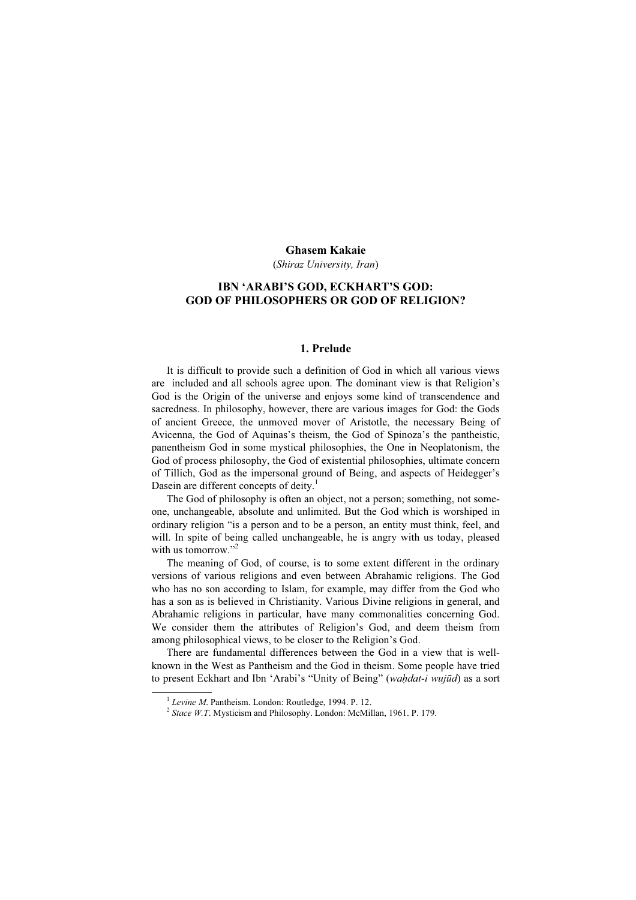#### Ghasem Kakaie

(Shiraz University, Iran)

# IBN 'ARABI'S GOD, ECKHART'S GOD: GOD OF PHILOSOPHERS OR GOD OF RELIGION?

## 1. Prelude

It is difficult to provide such a definition of God in which all various views are included and all schools agree upon. The dominant view is that Religion's God is the Origin of the universe and enjoys some kind of transcendence and sacredness. In philosophy, however, there are various images for God: the Gods of ancient Greece, the unmoved mover of Aristotle, the necessary Being of Avicenna, the God of Aquinas's theism, the God of Spinoza's the pantheistic, panentheism God in some mystical philosophies, the One in Neoplatonism, the God of process philosophy, the God of existential philosophies, ultimate concern of Tillich, God as the impersonal ground of Being, and aspects of Heidegger's Dasein are different concepts of deity.<sup>1</sup>

The God of philosophy is often an object, not a person; something, not someone, unchangeable, absolute and unlimited. But the God which is worshiped in ordinary religion "is a person and to be a person, an entity must think, feel, and will. In spite of being called unchangeable, he is angry with us today, pleased with us tomorrow."<sup>2</sup>

The meaning of God, of course, is to some extent different in the ordinary versions of various religions and even between Abrahamic religions. The God who has no son according to Islam, for example, may differ from the God who has a son as is believed in Christianity. Various Divine religions in general, and Abrahamic religions in particular, have many commonalities concerning God. We consider them the attributes of Religion's God, and deem theism from among philosophical views, to be closer to the Religion's God.

There are fundamental differences between the God in a view that is wellknown in the West as Pantheism and the God in theism. Some people have tried to present Eckhart and Ibn 'Arabi's "Unity of Being" (wahdat-i wujūd) as a sort

<sup>&</sup>lt;sup>1</sup> Levine M. Pantheism. London: Routledge, 1994. P. 12.<br><sup>2</sup> Stace W.T. Mysticism and Philosophy. London: McMillan, 1961. P. 179.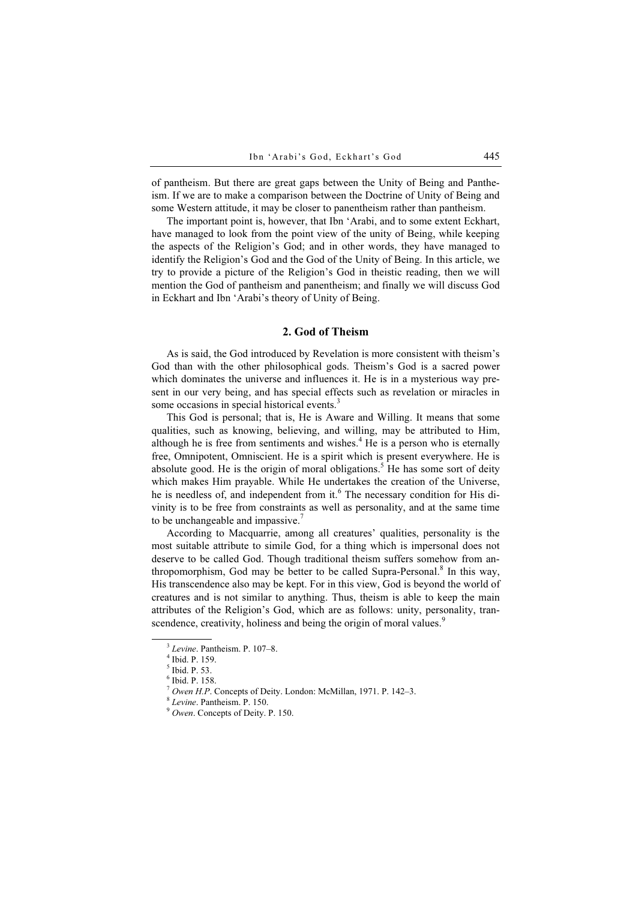of pantheism. But there are great gaps between the Unity of Being and Pantheism. If we are to make a comparison between the Doctrine of Unity of Being and some Western attitude, it may be closer to panentheism rather than pantheism.

The important point is, however, that Ibn 'Arabi, and to some extent Eckhart, have managed to look from the point view of the unity of Being, while keeping the aspects of the Religion's God; and in other words, they have managed to identify the Religion's God and the God of the Unity of Being. In this article, we try to provide a picture of the Religion's God in theistic reading, then we will mention the God of pantheism and panentheism; and finally we will discuss God in Eckhart and Ibn 'Arabi's theory of Unity of Being.

## 2. God of Theism

As is said, the God introduced by Revelation is more consistent with theism's God than with the other philosophical gods. Theism's God is a sacred power which dominates the universe and influences it. He is in a mysterious way present in our very being, and has special effects such as revelation or miracles in some occasions in special historical events.<sup>3</sup>

This God is personal; that is, He is Aware and Willing. It means that some qualities, such as knowing, believing, and willing, may be attributed to Him, although he is free from sentiments and wishes. $4$  He is a person who is eternally free, Omnipotent, Omniscient. He is a spirit which is present everywhere. He is absolute good. He is the origin of moral obligations.<sup>5</sup> He has some sort of deity which makes Him prayable. While He undertakes the creation of the Universe, he is needless of, and independent from it.<sup>6</sup> The necessary condition for His divinity is to be free from constraints as well as personality, and at the same time to be unchangeable and impassive.<sup>7</sup>

According to Macquarrie, among all creatures' qualities, personality is the most suitable attribute to simile God, for a thing which is impersonal does not deserve to be called God. Though traditional theism suffers somehow from anthropomorphism, God may be better to be called Supra-Personal.<sup>8</sup> In this way, His transcendence also may be kept. For in this view, God is beyond the world of creatures and is not similar to anything. Thus, theism is able to keep the main attributes of the Religion's God, which are as follows: unity, personality, transcendence, creativity, holiness and being the origin of moral values.<sup>9</sup>

 $3$  Levine. Pantheism. P. 107-8.

 $4$  Ibid. P. 159.

<sup>5</sup> Ibid. P. 53.

<sup>6</sup> Ibid. P. 158.

<sup>&</sup>lt;sup>7</sup> Owen H.P. Concepts of Deity. London: McMillan, 1971. P. 142–3.<br>
<sup>8</sup> Levine. Pantheism. P. 150. 9 Owen. Concepts of Deity. P. 150.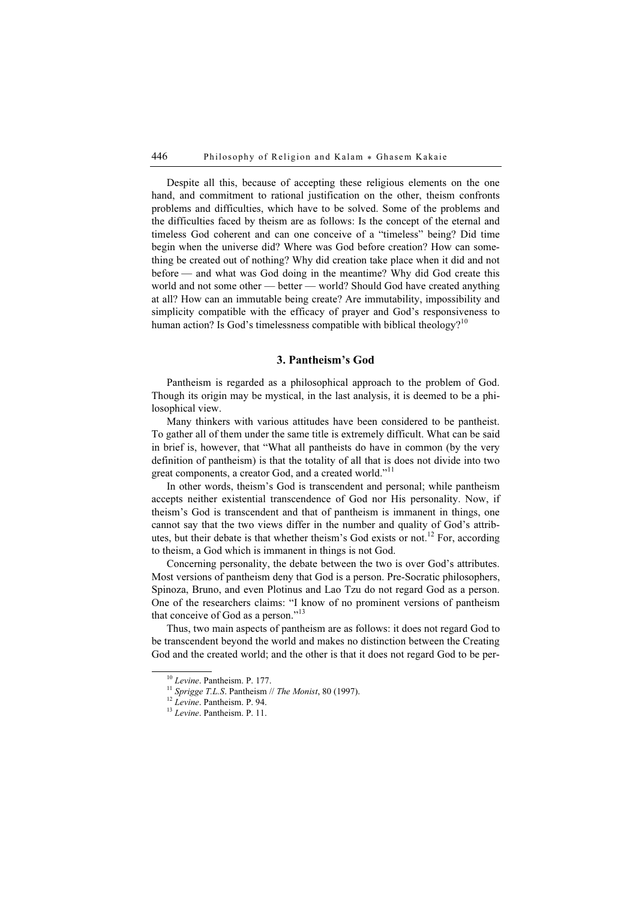Despite all this, because of accepting these religious elements on the one hand, and commitment to rational justification on the other, theism confronts problems and difficulties, which have to be solved. Some of the problems and the difficulties faced by theism are as follows: Is the concept of the eternal and timeless God coherent and can one conceive of a "timeless" being? Did time begin when the universe did? Where was God before creation? How can something be created out of nothing? Why did creation take place when it did and not before — and what was God doing in the meantime? Why did God create this world and not some other — better — world? Should God have created anything at all? How can an immutable being create? Are immutability, impossibility and simplicity compatible with the efficacy of prayer and God's responsiveness to human action? Is God's timelessness compatible with biblical theology?<sup>10</sup>

# 3. Pantheism's God

Pantheism is regarded as a philosophical approach to the problem of God. Though its origin may be mystical, in the last analysis, it is deemed to be a philosophical view.

Many thinkers with various attitudes have been considered to be pantheist. To gather all of them under the same title is extremely difficult. What can be said in brief is, however, that "What all pantheists do have in common (by the very definition of pantheism) is that the totality of all that is does not divide into two great components, a creator God, and a created world."<sup>11</sup>

In other words, theism's God is transcendent and personal; while pantheism accepts neither existential transcendence of God nor His personality. Now, if theism's God is transcendent and that of pantheism is immanent in things, one cannot say that the two views differ in the number and quality of God's attributes, but their debate is that whether theism's God exists or not.<sup>12</sup> For, according to theism, a God which is immanent in things is not God.

Concerning personality, the debate between the two is over God's attributes. Most versions of pantheism deny that God is a person. Pre-Socratic philosophers, Spinoza, Bruno, and even Plotinus and Lao Tzu do not regard God as a person. One of the researchers claims: "I know of no prominent versions of pantheism that conceive of God as a person."<sup>13</sup>

Thus, two main aspects of pantheism are as follows: it does not regard God to be transcendent beyond the world and makes no distinction between the Creating God and the created world; and the other is that it does not regard God to be per-

<sup>&</sup>lt;sup>10</sup> Levine. Pantheism. P. 177.<br><sup>11</sup> Sprigge T.L.S. Pantheism // The Monist, 80 (1997).<br><sup>12</sup> Levine. Pantheism. P. 94. <sup>13</sup> Levine. Pantheism. P. 11.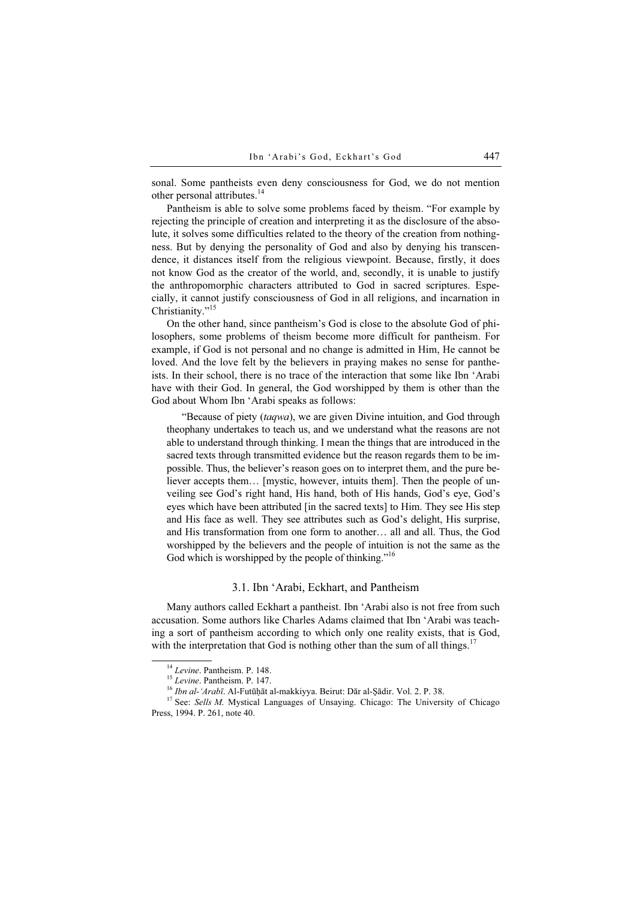sonal. Some pantheists even deny consciousness for God, we do not mention other personal attributes.<sup>14</sup>

Pantheism is able to solve some problems faced by theism. "For example by rejecting the principle of creation and interpreting it as the disclosure of the absolute, it solves some difficulties related to the theory of the creation from nothingness. But by denying the personality of God and also by denying his transcendence, it distances itself from the religious viewpoint. Because, firstly, it does not know God as the creator of the world, and, secondly, it is unable to justify the anthropomorphic characters attributed to God in sacred scriptures. Especially, it cannot justify consciousness of God in all religions, and incarnation in Christianity."<sup>15</sup>

On the other hand, since pantheism's God is close to the absolute God of philosophers, some problems of theism become more difficult for pantheism. For example, if God is not personal and no change is admitted in Him, He cannot be loved. And the love felt by the believers in praying makes no sense for pantheists. In their school, there is no trace of the interaction that some like Ibn 'Arabi have with their God. In general, the God worshipped by them is other than the God about Whom Ibn 'Arabi speaks as follows:

"Because of piety (taqwa), we are given Divine intuition, and God through theophany undertakes to teach us, and we understand what the reasons are not able to understand through thinking. I mean the things that are introduced in the sacred texts through transmitted evidence but the reason regards them to be impossible. Thus, the believer's reason goes on to interpret them, and the pure believer accepts them… [mystic, however, intuits them]. Then the people of unveiling see God's right hand, His hand, both of His hands, God's eye, God's eyes which have been attributed [in the sacred texts] to Him. They see His step and His face as well. They see attributes such as God's delight, His surprise, and His transformation from one form to another… all and all. Thus, the God worshipped by the believers and the people of intuition is not the same as the God which is worshipped by the people of thinking."<sup>16</sup>

#### 3.1. Ibn 'Arabi, Eckhart, and Pantheism

Many authors called Eckhart a pantheist. Ibn 'Arabi also is not free from such accusation. Some authors like Charles Adams claimed that Ibn 'Arabi was teaching a sort of pantheism according to which only one reality exists, that is God, with the interpretation that God is nothing other than the sum of all things.<sup>17</sup>

<sup>&</sup>lt;sup>14</sup> Levine. Pantheism. P. 148.<br><sup>15</sup> Levine. Pantheism. P. 147.<br><sup>16</sup> Ibn al-'Arabī. Al-Futūḥāt al-makkiyya. Beirut: Dār al-Ṣādir. Vol. 2. P. 38.<br><sup>17</sup> See: *Sells M.* Mystical Languages of Unsaying. Chicago: The University Press, 1994. P. 261, note 40.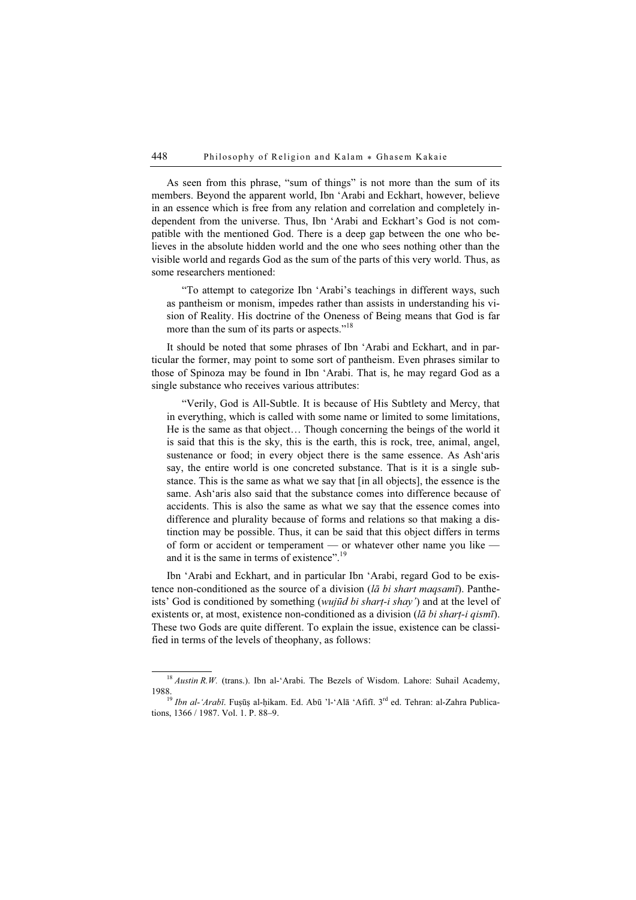As seen from this phrase, "sum of things" is not more than the sum of its members. Beyond the apparent world, Ibn 'Arabi and Eckhart, however, believe in an essence which is free from any relation and correlation and completely independent from the universe. Thus, Ibn 'Arabi and Eckhart's God is not compatible with the mentioned God. There is a deep gap between the one who believes in the absolute hidden world and the one who sees nothing other than the visible world and regards God as the sum of the parts of this very world. Thus, as some researchers mentioned:

"To attempt to categorize Ibn 'Arabi's teachings in different ways, such as pantheism or monism, impedes rather than assists in understanding his vision of Reality. His doctrine of the Oneness of Being means that God is far more than the sum of its parts or aspects."<sup>18</sup>

It should be noted that some phrases of Ibn 'Arabi and Eckhart, and in particular the former, may point to some sort of pantheism. Even phrases similar to those of Spinoza may be found in Ibn 'Arabi. That is, he may regard God as a single substance who receives various attributes:

"Verily, God is All-Subtle. It is because of His Subtlety and Mercy, that in everything, which is called with some name or limited to some limitations, He is the same as that object… Though concerning the beings of the world it is said that this is the sky, this is the earth, this is rock, tree, animal, angel, sustenance or food; in every object there is the same essence. As Ash'aris say, the entire world is one concreted substance. That is it is a single substance. This is the same as what we say that [in all objects], the essence is the same. Ash'aris also said that the substance comes into difference because of accidents. This is also the same as what we say that the essence comes into difference and plurality because of forms and relations so that making a distinction may be possible. Thus, it can be said that this object differs in terms of form or accident or temperament — or whatever other name you like and it is the same in terms of existence".<sup>19</sup>

Ibn 'Arabi and Eckhart, and in particular Ibn 'Arabi, regard God to be existence non-conditioned as the source of a division ( $l\bar{a}$  bi shart maqsamī). Pantheists' God is conditioned by something (*wujūd bi shart-i shay*') and at the level of existents or, at most, existence non-conditioned as a division ( $l\bar{a}$  bi shart-i qismi). These two Gods are quite different. To explain the issue, existence can be classified in terms of the levels of theophany, as follows:

 $18$  Austin R.W. (trans.). Ibn al-'Arabi. The Bezels of Wisdom. Lahore: Suhail Academy, 1988.<br><sup>19</sup> Ibn al-'Arabī. Fuṣūṣ al-ḥikam. Ed. Abū 'l-'Alā 'Afifī. 3<sup>rd</sup> ed. Tehran: al-Zahra Publica-

tions, 1366 / 1987. Vol. 1. P. 88–9.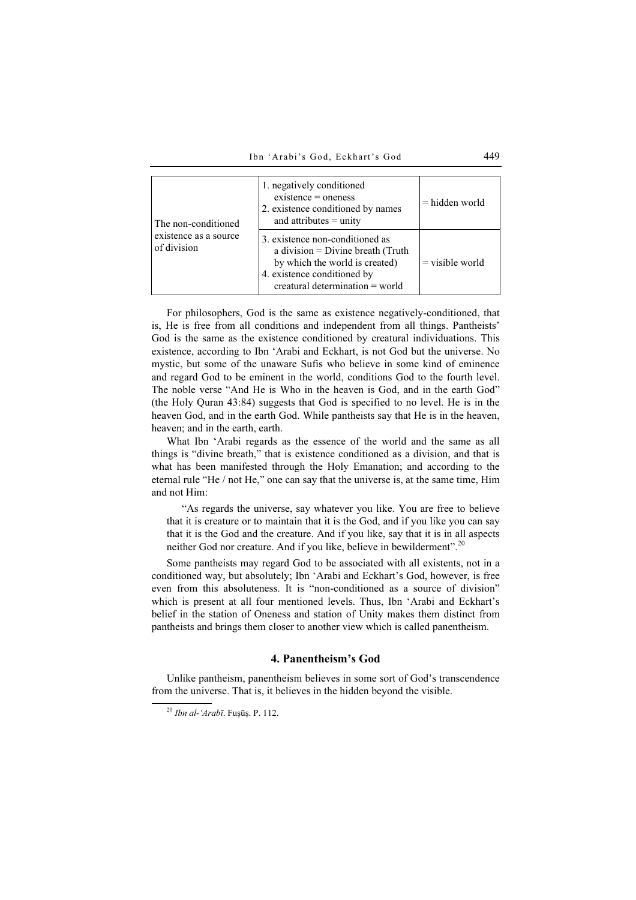| The non-conditioned<br>existence as a source<br>of division | 1. negatively conditioned<br>$exists =$ oneness<br>2. existence conditioned by names<br>and attributes $=$ unity                                                              | $=$ hidden world  |
|-------------------------------------------------------------|-------------------------------------------------------------------------------------------------------------------------------------------------------------------------------|-------------------|
|                                                             | 3. existence non-conditioned as<br>a division = $Divine$ breath (Truth<br>by which the world is created)<br>4. existence conditioned by<br>$c$ reatural determination = world | $=$ visible world |

For philosophers, God is the same as existence negatively-conditioned, that is, He is free from all conditions and independent from all things. Pantheists' God is the same as the existence conditioned by creatural individuations. This existence, according to Ibn 'Arabi and Eckhart, is not God but the universe. No mystic, but some of the unaware Sufis who believe in some kind of eminence and regard God to be eminent in the world, conditions God to the fourth level. The noble verse "And He is Who in the heaven is God, and in the earth God" (the Holy Quran 43:84) suggests that God is specified to no level. He is in the heaven God, and in the earth God. While pantheists say that He is in the heaven, heaven; and in the earth, earth.

What Ibn 'Arabi regards as the essence of the world and the same as all things is "divine breath," that is existence conditioned as a division, and that is what has been manifested through the Holy Emanation; and according to the eternal rule "He / not He," one can say that the universe is, at the same time, Him and not Him:

"As regards the universe, say whatever you like. You are free to believe that it is creature or to maintain that it is the God, and if you like you can say that it is the God and the creature. And if you like, say that it is in all aspects neither God nor creature. And if you like, believe in bewilderment".<sup>20</sup>

Some pantheists may regard God to be associated with all existents, not in a conditioned way, but absolutely; Ibn 'Arabi and Eckhart's God, however, is free even from this absoluteness. It is "non-conditioned as a source of division" which is present at all four mentioned levels. Thus, Ibn 'Arabi and Eckhart's belief in the station of Oneness and station of Unity makes them distinct from pantheists and brings them closer to another view which is called panentheism.

# 4. Panentheism's God

Unlike pantheism, panentheism believes in some sort of God's transcendence from the universe. That is, it believes in the hidden beyond the visible.

 $^{20}$  Ibn al-'Arabī. Fuṣūṣ. P. 112.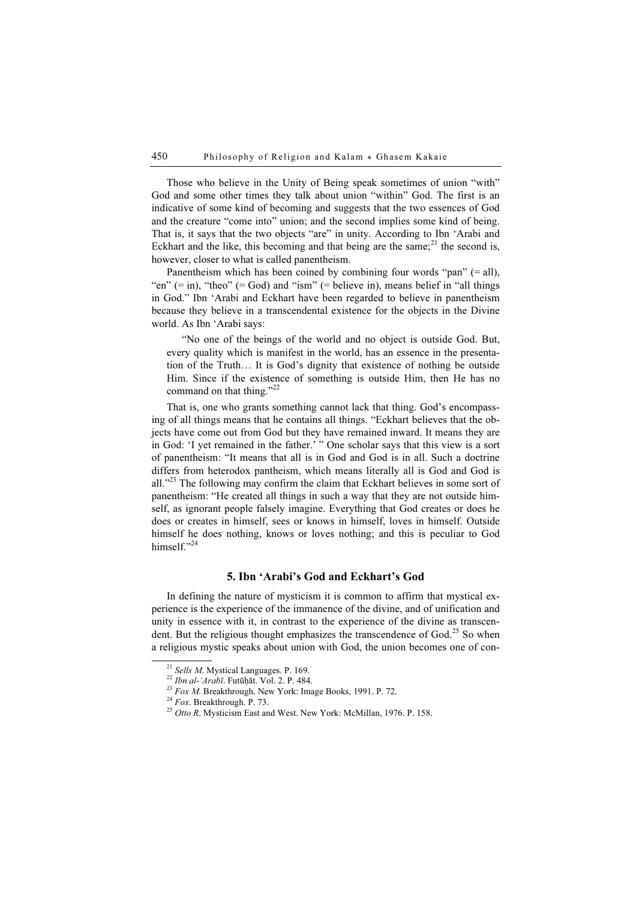Those who believe in the Unity of Being speak sometimes of union "with" God and some other times they talk about union "within" God. The first is an indicative of some kind of becoming and suggests that the two essences of God and the creature "come into" union; and the second implies some kind of being. That is, it says that the two objects "are" in unity. According to Ibn 'Arabi and Eckhart and the like, this becoming and that being are the same;<sup>21</sup> the second is, however, closer to what is called panentheism.

Panentheism which has been coined by combining four words "pan" (= all), "en" (= in), "theo" (= God) and "ism" (= believe in), means belief in "all things" in God." Ibn 'Arabi and Eckhart have been regarded to believe in panentheism because they believe in a transcendental existence for the objects in the Divine world. As Ibn 'Arabi says:

"No one of the beings of the world and no object is outside God. But, every quality which is manifest in the world, has an essence in the presentation of the Truth… It is God's dignity that existence of nothing be outside Him. Since if the existence of something is outside Him, then He has no command on that thing."<sup>22</sup>

That is, one who grants something cannot lack that thing. God's encompassing of all things means that he contains all things. "Eckhart believes that the objects have come out from God but they have remained inward. It means they are in God: 'I yet remained in the father.' " One scholar says that this view is a sort of panentheism: "It means that all is in God and God is in all. Such a doctrine differs from heterodox pantheism, which means literally all is God and God is all."<sup>23</sup> The following may confirm the claim that Eckhart believes in some sort of panentheism: "He created all things in such a way that they are not outside himself, as ignorant people falsely imagine. Everything that God creates or does he does or creates in himself, sees or knows in himself, loves in himself. Outside himself he does nothing, knows or loves nothing; and this is peculiar to God himself<sup>"24</sup>

### 5. Ibn 'Arabi's God and Eckhart's God

In defining the nature of mysticism it is common to affirm that mystical experience is the experience of the immanence of the divine, and of unification and unity in essence with it, in contrast to the experience of the divine as transcendent. But the religious thought emphasizes the transcendence of God.<sup>25</sup> So when a religious mystic speaks about union with God, the union becomes one of con-

<sup>&</sup>lt;sup>21</sup> Sells M. Mystical Languages. P. 169.<br><sup>22</sup> *Ibn al-`Arabī*. Futūḥāt. Vol. 2. P. 484.<br><sup>23</sup> *Fox M.* Breakthrough. New York: Image Books, 1991. P. 72.<br><sup>24</sup> *Fox*. Breakthrough. P. 73.<br><sup>25</sup> *Otto R.* Mysticism East and W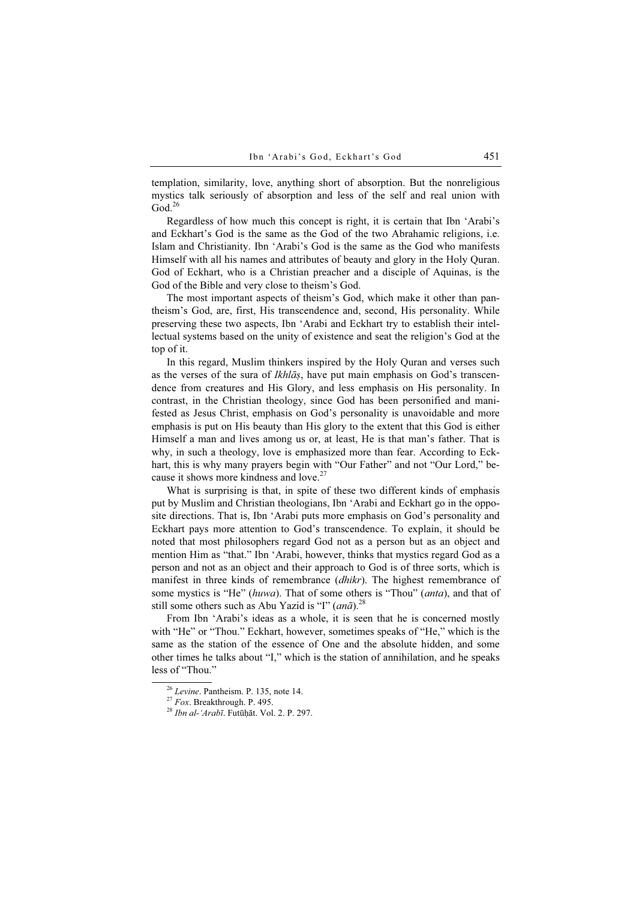templation, similarity, love, anything short of absorption. But the nonreligious mystics talk seriously of absorption and less of the self and real union with  $\mathrm{God.}^{26}$ 

Regardless of how much this concept is right, it is certain that Ibn 'Arabi's and Eckhart's God is the same as the God of the two Abrahamic religions, i.e. Islam and Christianity. Ibn 'Arabi's God is the same as the God who manifests Himself with all his names and attributes of beauty and glory in the Holy Quran. God of Eckhart, who is a Christian preacher and a disciple of Aquinas, is the God of the Bible and very close to theism's God.

The most important aspects of theism's God, which make it other than pantheism's God, are, first, His transcendence and, second, His personality. While preserving these two aspects, Ibn 'Arabi and Eckhart try to establish their intellectual systems based on the unity of existence and seat the religion's God at the top of it.

In this regard, Muslim thinkers inspired by the Holy Quran and verses such as the verses of the sura of *Ikhlās*, have put main emphasis on God's transcendence from creatures and His Glory, and less emphasis on His personality. In contrast, in the Christian theology, since God has been personified and manifested as Jesus Christ, emphasis on God's personality is unavoidable and more emphasis is put on His beauty than His glory to the extent that this God is either Himself a man and lives among us or, at least, He is that man's father. That is why, in such a theology, love is emphasized more than fear. According to Eckhart, this is why many prayers begin with "Our Father" and not "Our Lord," because it shows more kindness and love.<sup>27</sup>

What is surprising is that, in spite of these two different kinds of emphasis put by Muslim and Christian theologians, Ibn 'Arabi and Eckhart go in the opposite directions. That is, Ibn 'Arabi puts more emphasis on God's personality and Eckhart pays more attention to God's transcendence. To explain, it should be noted that most philosophers regard God not as a person but as an object and mention Him as "that." Ibn 'Arabi, however, thinks that mystics regard God as a person and not as an object and their approach to God is of three sorts, which is manifest in three kinds of remembrance (dhikr). The highest remembrance of some mystics is "He" (huwa). That of some others is "Thou" (anta), and that of still some others such as Abu Yazid is "I" ( $an\bar{a}$ ).<sup>28</sup>

From Ibn 'Arabi's ideas as a whole, it is seen that he is concerned mostly with "He" or "Thou." Eckhart, however, sometimes speaks of "He," which is the same as the station of the essence of One and the absolute hidden, and some other times he talks about "I," which is the station of annihilation, and he speaks less of "Thou."

<sup>&</sup>lt;sup>26</sup> Levine. Pantheism. P. 135, note 14.<br><sup>27</sup> Fox. Breakthrough. P. 495.<br><sup>28</sup> *Ibn al-'Arabī*. Futūḥāt. Vol. 2. P. 297.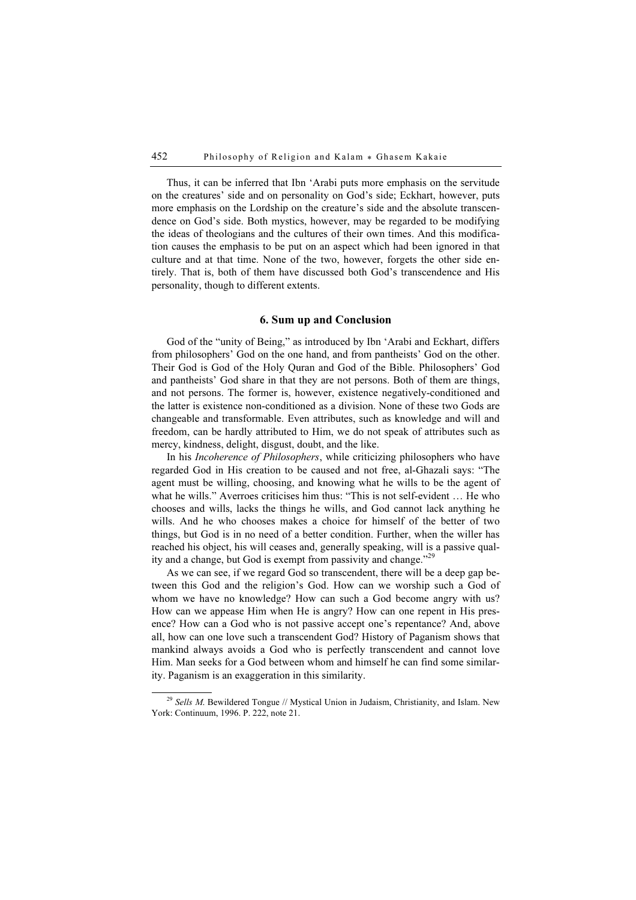Thus, it can be inferred that Ibn 'Arabi puts more emphasis on the servitude on the creatures' side and on personality on God's side; Eckhart, however, puts more emphasis on the Lordship on the creature's side and the absolute transcendence on God's side. Both mystics, however, may be regarded to be modifying the ideas of theologians and the cultures of their own times. And this modification causes the emphasis to be put on an aspect which had been ignored in that culture and at that time. None of the two, however, forgets the other side entirely. That is, both of them have discussed both God's transcendence and His personality, though to different extents.

### 6. Sum up and Conclusion

God of the "unity of Being," as introduced by Ibn 'Arabi and Eckhart, differs from philosophers' God on the one hand, and from pantheists' God on the other. Their God is God of the Holy Quran and God of the Bible. Philosophers' God and pantheists' God share in that they are not persons. Both of them are things, and not persons. The former is, however, existence negatively-conditioned and the latter is existence non-conditioned as a division. None of these two Gods are changeable and transformable. Even attributes, such as knowledge and will and freedom, can be hardly attributed to Him, we do not speak of attributes such as mercy, kindness, delight, disgust, doubt, and the like.

In his *Incoherence of Philosophers*, while criticizing philosophers who have regarded God in His creation to be caused and not free, al-Ghazali says: "The agent must be willing, choosing, and knowing what he wills to be the agent of what he wills." Averroes criticises him thus: "This is not self-evident … He who chooses and wills, lacks the things he wills, and God cannot lack anything he wills. And he who chooses makes a choice for himself of the better of two things, but God is in no need of a better condition. Further, when the willer has reached his object, his will ceases and, generally speaking, will is a passive quality and a change, but God is exempt from passivity and change."<sup>29</sup>

As we can see, if we regard God so transcendent, there will be a deep gap between this God and the religion's God. How can we worship such a God of whom we have no knowledge? How can such a God become angry with us? How can we appease Him when He is angry? How can one repent in His presence? How can a God who is not passive accept one's repentance? And, above all, how can one love such a transcendent God? History of Paganism shows that mankind always avoids a God who is perfectly transcendent and cannot love Him. Man seeks for a God between whom and himself he can find some similarity. Paganism is an exaggeration in this similarity.

 $^{29}$  Sells M. Bewildered Tongue // Mystical Union in Judaism, Christianity, and Islam. New York: Continuum, 1996. P. 222, note 21.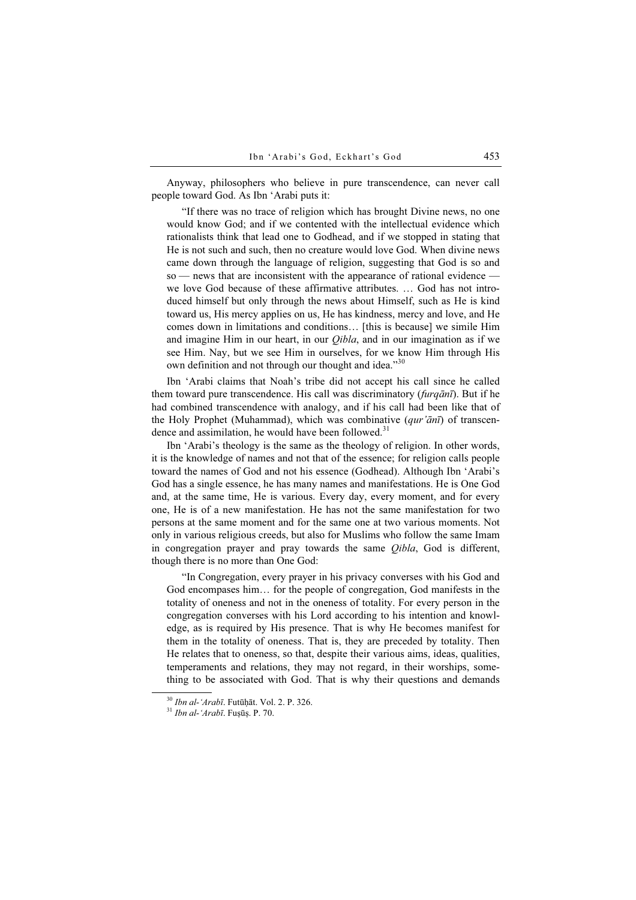Anyway, philosophers who believe in pure transcendence, can never call people toward God. As Ibn 'Arabi puts it:

"If there was no trace of religion which has brought Divine news, no one would know God; and if we contented with the intellectual evidence which rationalists think that lead one to Godhead, and if we stopped in stating that He is not such and such, then no creature would love God. When divine news came down through the language of religion, suggesting that God is so and so — news that are inconsistent with the appearance of rational evidence we love God because of these affirmative attributes. … God has not introduced himself but only through the news about Himself, such as He is kind toward us, His mercy applies on us, He has kindness, mercy and love, and He comes down in limitations and conditions… [this is because] we simile Him and imagine Him in our heart, in our *Oibla*, and in our imagination as if we see Him. Nay, but we see Him in ourselves, for we know Him through His own definition and not through our thought and idea."<sup>30</sup>

Ibn 'Arabi claims that Noah's tribe did not accept his call since he called them toward pure transcendence. His call was discriminatory ( $furgānī$ ). But if he had combined transcendence with analogy, and if his call had been like that of the Holy Prophet (Muhammad), which was combinative  $-qur' \bar{a}n\bar{\imath}$ ) of transcendence and assimilation, he would have been followed. $31$ 

Ibn 'Arabi's theology is the same as the theology of religion. In other words, it is the knowledge of names and not that of the essence; for religion calls people toward the names of God and not his essence (Godhead). Although Ibn 'Arabi's God has a single essence, he has many names and manifestations. He is One God and, at the same time, He is various. Every day, every moment, and for every one, He is of a new manifestation. He has not the same manifestation for two persons at the same moment and for the same one at two various moments. Not only in various religious creeds, but also for Muslims who follow the same Imam in congregation prayer and pray towards the same Qibla, God is different, though there is no more than One God:

"In Congregation, every prayer in his privacy converses with his God and God encompases him… for the people of congregation, God manifests in the totality of oneness and not in the oneness of totality. For every person in the congregation converses with his Lord according to his intention and knowledge, as is required by His presence. That is why He becomes manifest for them in the totality of oneness. That is, they are preceded by totality. Then He relates that to oneness, so that, despite their various aims, ideas, qualities, temperaments and relations, they may not regard, in their worships, something to be associated with God. That is why their questions and demands

 $30$  *Ibn al-'Arabī*. Futūḥāt. Vol. 2. P. 326.  $31$  *Ibn al-'Arabī*. Fuṣūṣ. P. 70.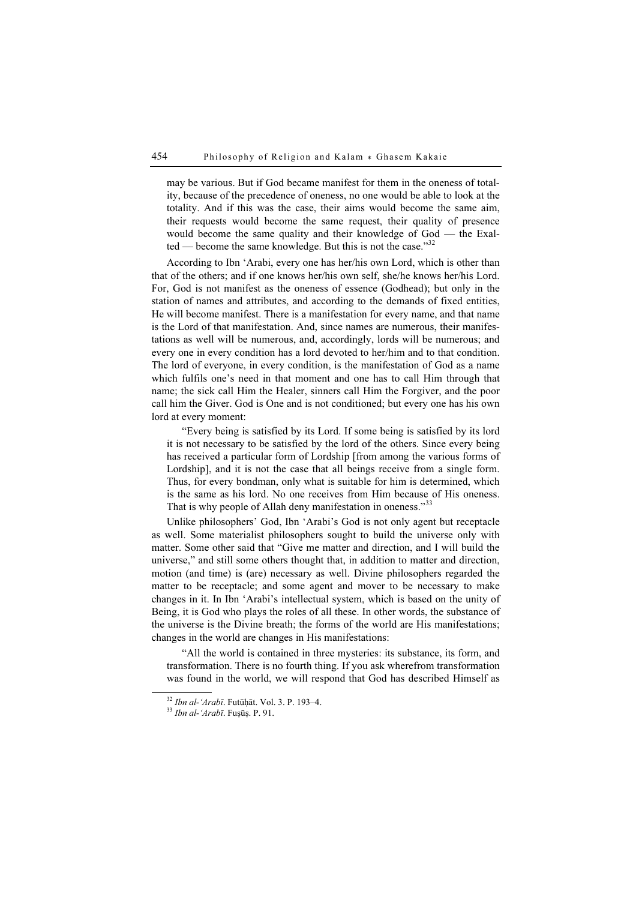may be various. But if God became manifest for them in the oneness of totality, because of the precedence of oneness, no one would be able to look at the totality. And if this was the case, their aims would become the same aim, their requests would become the same request, their quality of presence would become the same quality and their knowledge of God — the Exalted — become the same knowledge. But this is not the case." $32$ 

According to Ibn 'Arabi, every one has her/his own Lord, which is other than that of the others; and if one knows her/his own self, she/he knows her/his Lord. For, God is not manifest as the oneness of essence (Godhead); but only in the station of names and attributes, and according to the demands of fixed entities, He will become manifest. There is a manifestation for every name, and that name is the Lord of that manifestation. And, since names are numerous, their manifestations as well will be numerous, and, accordingly, lords will be numerous; and every one in every condition has a lord devoted to her/him and to that condition. The lord of everyone, in every condition, is the manifestation of God as a name which fulfils one's need in that moment and one has to call Him through that name; the sick call Him the Healer, sinners call Him the Forgiver, and the poor call him the Giver. God is One and is not conditioned; but every one has his own lord at every moment:

"Every being is satisfied by its Lord. If some being is satisfied by its lord it is not necessary to be satisfied by the lord of the others. Since every being has received a particular form of Lordship [from among the various forms of Lordship], and it is not the case that all beings receive from a single form. Thus, for every bondman, only what is suitable for him is determined, which is the same as his lord. No one receives from Him because of His oneness. That is why people of Allah deny manifestation in oneness."33

Unlike philosophers' God, Ibn 'Arabi's God is not only agent but receptacle as well. Some materialist philosophers sought to build the universe only with matter. Some other said that "Give me matter and direction, and I will build the universe," and still some others thought that, in addition to matter and direction, motion (and time) is (are) necessary as well. Divine philosophers regarded the matter to be receptacle; and some agent and mover to be necessary to make changes in it. In Ibn 'Arabi's intellectual system, which is based on the unity of Being, it is God who plays the roles of all these. In other words, the substance of the universe is the Divine breath; the forms of the world are His manifestations; changes in the world are changes in His manifestations:

"All the world is contained in three mysteries: its substance, its form, and transformation. There is no fourth thing. If you ask wherefrom transformation was found in the world, we will respond that God has described Himself as

 $32$  *Ibn al-'Arabī*. Futūḥāt. Vol. 3. P. 193–4.<br> $33$  *Ibn al-'Arabī*. Fuṣūṣ. P. 91.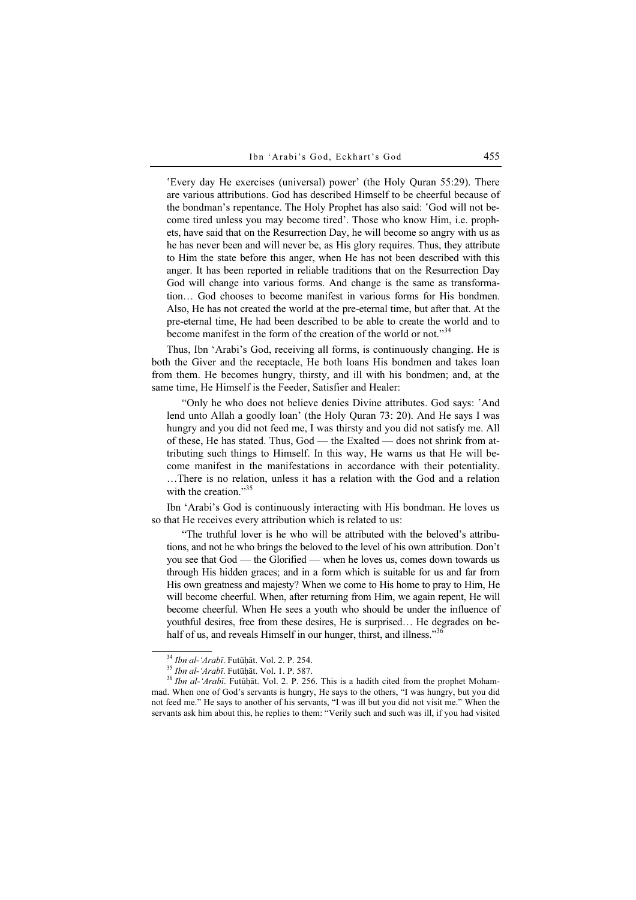'Every day He exercises (universal) power' (the Holy Quran 55:29). There are various attributions. God has described Himself to be cheerful because of the bondman's repentance. The Holy Prophet has also said: 'God will not become tired unless you may become tired'. Those who know Him, i.e. prophets, have said that on the Resurrection Day, he will become so angry with us as he has never been and will never be, as His glory requires. Thus, they attribute to Him the state before this anger, when He has not been described with this anger. It has been reported in reliable traditions that on the Resurrection Day God will change into various forms. And change is the same as transformation… God chooses to become manifest in various forms for His bondmen. Also, He has not created the world at the pre-eternal time, but after that. At the pre-eternal time, He had been described to be able to create the world and to become manifest in the form of the creation of the world or not."<sup>34</sup>

Thus, Ibn 'Arabi's God, receiving all forms, is continuously changing. He is both the Giver and the receptacle, He both loans His bondmen and takes loan from them. He becomes hungry, thirsty, and ill with his bondmen; and, at the same time, He Himself is the Feeder, Satisfier and Healer:

"Only he who does not believe denies Divine attributes. God says: 'And lend unto Allah a goodly loan' (the Holy Quran 73: 20). And He says I was hungry and you did not feed me, I was thirsty and you did not satisfy me. All of these, He has stated. Thus, God — the Exalted — does not shrink from attributing such things to Himself. In this way, He warns us that He will become manifest in the manifestations in accordance with their potentiality. …There is no relation, unless it has a relation with the God and a relation with the creation. $1.35$ 

Ibn 'Arabi's God is continuously interacting with His bondman. He loves us so that He receives every attribution which is related to us:

"The truthful lover is he who will be attributed with the beloved's attributions, and not he who brings the beloved to the level of his own attribution. Don't you see that God — the Glorified — when he loves us, comes down towards us through His hidden graces; and in a form which is suitable for us and far from His own greatness and majesty? When we come to His home to pray to Him, He will become cheerful. When, after returning from Him, we again repent, He will become cheerful. When He sees a youth who should be under the influence of youthful desires, free from these desires, He is surprised… He degrades on behalf of us, and reveals Himself in our hunger, thirst, and illness."<sup>36</sup>

<sup>&</sup>lt;sup>34</sup> Ibn al-'Arabī. Futūḥāt. Vol. 2. P. 254.<br><sup>35</sup> Ibn al-'Arabī. Futūḥāt. Vol. 1. P. 587.<br><sup>36</sup> Ibn al-'Arabī. Futūḥāt. Vol. 2. P. 256. This is a hadith cited from the prophet Mohammad. When one of God's servants is hungry, He says to the others, "I was hungry, but you did not feed me." He says to another of his servants, "I was ill but you did not visit me." When the servants ask him about this, he replies to them: "Verily such and such was ill, if you had visited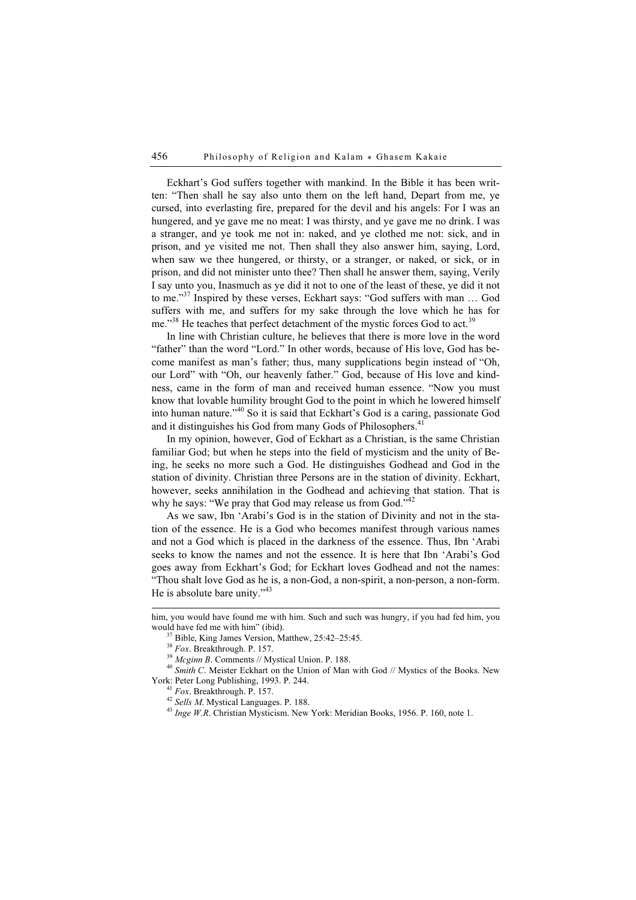Eckhart's God suffers together with mankind. In the Bible it has been written: "Then shall he say also unto them on the left hand, Depart from me, ye cursed, into everlasting fire, prepared for the devil and his angels: For I was an hungered, and ye gave me no meat: I was thirsty, and ye gave me no drink. I was a stranger, and ye took me not in: naked, and ye clothed me not: sick, and in prison, and ye visited me not. Then shall they also answer him, saying, Lord, when saw we thee hungered, or thirsty, or a stranger, or naked, or sick, or in prison, and did not minister unto thee? Then shall he answer them, saying, Verily I say unto you, Inasmuch as ye did it not to one of the least of these, ye did it not to me."<sup>37</sup> Inspired by these verses, Eckhart says: "God suffers with man … God suffers with me, and suffers for my sake through the love which he has for me."<sup>38</sup> He teaches that perfect detachment of the mystic forces God to act.<sup>39</sup>

In line with Christian culture, he believes that there is more love in the word "father" than the word "Lord." In other words, because of His love, God has become manifest as man's father; thus, many supplications begin instead of "Oh, our Lord" with "Oh, our heavenly father." God, because of His love and kindness, came in the form of man and received human essence. "Now you must know that lovable humility brought God to the point in which he lowered himself into human nature."<sup>40</sup> So it is said that Eckhart's God is a caring, passionate God and it distinguishes his God from many Gods of Philosophers.<sup>41</sup>

In my opinion, however, God of Eckhart as a Christian, is the same Christian familiar God; but when he steps into the field of mysticism and the unity of Being, he seeks no more such a God. He distinguishes Godhead and God in the station of divinity. Christian three Persons are in the station of divinity. Eckhart, however, seeks annihilation in the Godhead and achieving that station. That is why he says: "We pray that God may release us from  $God.^{1,42}$ 

As we saw, Ibn 'Arabi's God is in the station of Divinity and not in the station of the essence. He is a God who becomes manifest through various names and not a God which is placed in the darkness of the essence. Thus, Ibn 'Arabi seeks to know the names and not the essence. It is here that Ibn 'Arabi's God goes away from Eckhart's God; for Eckhart loves Godhead and not the names: "Thou shalt love God as he is, a non-God, a non-spirit, a non-person, a non-form. He is absolute bare unity."<sup>43</sup>

him, you would have found me with him. Such and such was hungry, if you had fed him, you

<sup>&</sup>lt;sup>37</sup> Bible, King James Version, Matthew, 25:42–25:45.<br><sup>38</sup> *Fox*. Breakthrough. P. 157.

<sup>&</sup>lt;sup>39</sup> *Mcginn B*. Comments // Mystical Union. P. 188.  $^{40}$  *Smith C.* Meister Eckhart on the Union of Man with God // Mystics of the Books. New York: Peter Long Publishing, 1993. P. 244.

<sup>&</sup>lt;sup>41</sup> Fox. Breakthrough. P. 157.  $^{41}$ <br><sup>42</sup> Sells M. Mystical Languages. P. 188.  $^{43}$  *Inge W.R.* Christian Mysticism. New York: Meridian Books, 1956. P. 160, note 1.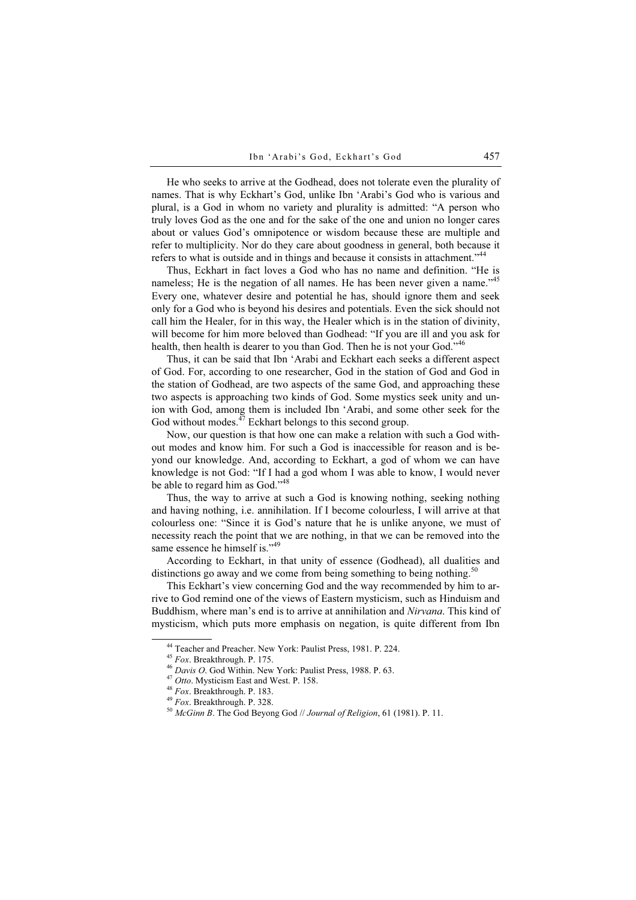He who seeks to arrive at the Godhead, does not tolerate even the plurality of names. That is why Eckhart's God, unlike Ibn 'Arabi's God who is various and plural, is a God in whom no variety and plurality is admitted: "A person who truly loves God as the one and for the sake of the one and union no longer cares about or values God's omnipotence or wisdom because these are multiple and refer to multiplicity. Nor do they care about goodness in general, both because it refers to what is outside and in things and because it consists in attachment."<sup>44</sup>

Thus, Eckhart in fact loves a God who has no name and definition. "He is nameless; He is the negation of all names. He has been never given a name."<sup>45</sup> Every one, whatever desire and potential he has, should ignore them and seek only for a God who is beyond his desires and potentials. Even the sick should not call him the Healer, for in this way, the Healer which is in the station of divinity, will become for him more beloved than Godhead: "If you are ill and you ask for health, then health is dearer to you than God. Then he is not your God."<sup>46</sup>

Thus, it can be said that Ibn 'Arabi and Eckhart each seeks a different aspect of God. For, according to one researcher, God in the station of God and God in the station of Godhead, are two aspects of the same God, and approaching these two aspects is approaching two kinds of God. Some mystics seek unity and union with God, among them is included Ibn 'Arabi, and some other seek for the God without modes. $47$  Eckhart belongs to this second group.

Now, our question is that how one can make a relation with such a God without modes and know him. For such a God is inaccessible for reason and is beyond our knowledge. And, according to Eckhart, a god of whom we can have knowledge is not God: "If I had a god whom I was able to know, I would never be able to regard him as God."<sup>48</sup>

Thus, the way to arrive at such a God is knowing nothing, seeking nothing and having nothing, i.e. annihilation. If I become colourless, I will arrive at that colourless one: "Since it is God's nature that he is unlike anyone, we must of necessity reach the point that we are nothing, in that we can be removed into the same essence he himself is."<sup>49</sup>

According to Eckhart, in that unity of essence (Godhead), all dualities and distinctions go away and we come from being something to being nothing.<sup>50</sup>

This Eckhart's view concerning God and the way recommended by him to arrive to God remind one of the views of Eastern mysticism, such as Hinduism and Buddhism, where man's end is to arrive at annihilation and Nirvana. This kind of mysticism, which puts more emphasis on negation, is quite different from Ibn

<sup>&</sup>lt;sup>44</sup> Teacher and Preacher. New York: Paulist Press, 1981. P. 224. <sup>45</sup> *Fox.* Breakthrough. P. 175.

<sup>&</sup>lt;sup>46</sup> Davis O. God Within. New York: Paulist Press, 1988. P. 63.<br><sup>47</sup> Otto. Mysticism East and West. P. 158.<br><sup>48</sup> Fox. Breakthrough. P. 183.<br><sup>49</sup> Fox. Breakthrough. P. 328.<br><sup>50</sup> McGinn B. The God Beyong God // Journal of R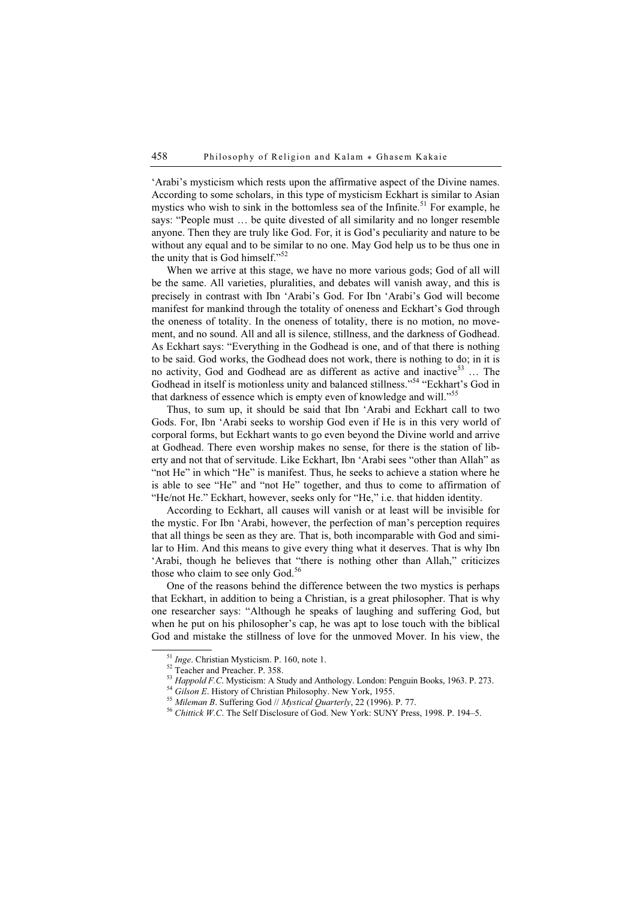'Arabi's mysticism which rests upon the affirmative aspect of the Divine names. According to some scholars, in this type of mysticism Eckhart is similar to Asian mystics who wish to sink in the bottomless sea of the Infinite.<sup>51</sup> For example, he says: "People must … be quite divested of all similarity and no longer resemble anyone. Then they are truly like God. For, it is God's peculiarity and nature to be without any equal and to be similar to no one. May God help us to be thus one in the unity that is God himself."<sup>52</sup>

When we arrive at this stage, we have no more various gods; God of all will be the same. All varieties, pluralities, and debates will vanish away, and this is precisely in contrast with Ibn 'Arabi's God. For Ibn 'Arabi's God will become manifest for mankind through the totality of oneness and Eckhart's God through the oneness of totality. In the oneness of totality, there is no motion, no movement, and no sound. All and all is silence, stillness, and the darkness of Godhead. As Eckhart says: "Everything in the Godhead is one, and of that there is nothing to be said. God works, the Godhead does not work, there is nothing to do; in it is no activity, God and Godhead are as different as active and inactive<sup>53</sup> ... The Godhead in itself is motionless unity and balanced stillness."<sup>54</sup> "Eckhart's God in that darkness of essence which is empty even of knowledge and will."<sup>55</sup>

Thus, to sum up, it should be said that Ibn 'Arabi and Eckhart call to two Gods. For, Ibn 'Arabi seeks to worship God even if He is in this very world of corporal forms, but Eckhart wants to go even beyond the Divine world and arrive at Godhead. There even worship makes no sense, for there is the station of liberty and not that of servitude. Like Eckhart, Ibn 'Arabi sees "other than Allah" as "not He" in which "He" is manifest. Thus, he seeks to achieve a station where he is able to see "He" and "not He" together, and thus to come to affirmation of "He/not He." Eckhart, however, seeks only for "He," i.e. that hidden identity.

According to Eckhart, all causes will vanish or at least will be invisible for the mystic. For Ibn 'Arabi, however, the perfection of man's perception requires that all things be seen as they are. That is, both incomparable with God and similar to Him. And this means to give every thing what it deserves. That is why Ibn 'Arabi, though he believes that "there is nothing other than Allah," criticizes those who claim to see only  $God.<sup>56</sup>$ 

One of the reasons behind the difference between the two mystics is perhaps that Eckhart, in addition to being a Christian, is a great philosopher. That is why one researcher says: "Although he speaks of laughing and suffering God, but when he put on his philosopher's cap, he was apt to lose touch with the biblical God and mistake the stillness of love for the unmoved Mover. In his view, the

<sup>&</sup>lt;sup>51</sup> *Inge*. Christian Mysticism. P. 160, note 1.<br><sup>52</sup> Teacher and Preacher. P. 358.<br><sup>53</sup> *Happold F.C.* Mysticism: A Study and Anthology. London: Penguin Books, 1963. P. 273.

<sup>&</sup>lt;sup>54</sup> Gilson E. History of Christian Philosophy. New York, 1955.<br><sup>55</sup> Mileman B. Suffering God // Mystical Quarterly, 22 (1996). P. 77.<br><sup>56</sup> Chittick W.C. The Self Disclosure of God. New York: SUNY Press, 1998. P. 194–5.